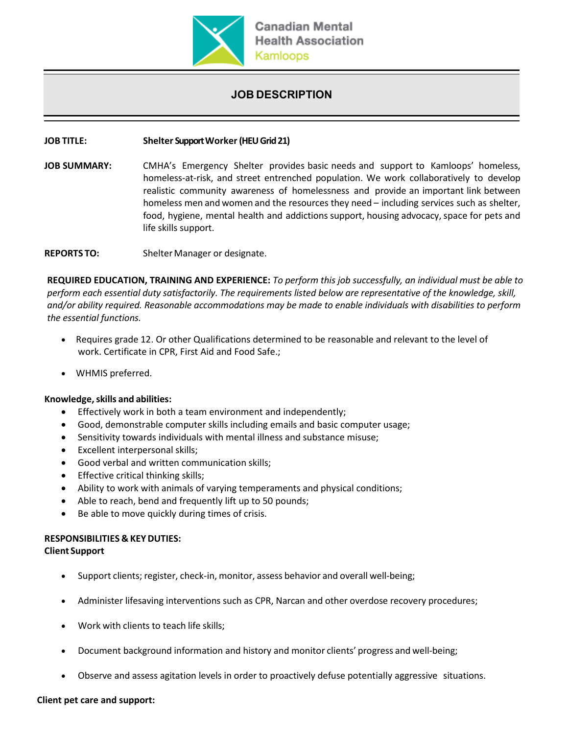

## **JOB DESCRIPTION**

#### **JOB TITLE: Shelter SupportWorker(HEU Grid 21)**

**JOB SUMMARY:** CMHA's Emergency Shelter provides basic needs and support to Kamloops' homeless, homeless-at-risk, and street entrenched population. We work collaboratively to develop realistic community awareness of homelessness and provide an important link between homeless men and women and the resources they need – including services such as shelter, food, hygiene, mental health and addictions support, housing advocacy, space for pets and life skills support.

**REPORTS TO:** Shelter Manager or designate.

**REQUIRED EDUCATION, TRAINING AND EXPERIENCE:** *To perform this job successfully, an individual must be able to perform each essential duty satisfactorily. The requirements listed below are representative of the knowledge, skill, and/or ability required. Reasonable accommodations may be made to enable individuals with disabilities to perform the essential functions.*

- Requires grade 12. Or other Qualifications determined to be reasonable and relevant to the level of work. Certificate in CPR, First Aid and Food Safe.;
- WHMIS preferred.

#### **Knowledge,skills and abilities:**

- Effectively work in both a team environment and independently;
- Good, demonstrable computer skills including emails and basic computer usage;
- Sensitivity towards individuals with mental illness and substance misuse;
- Excellent interpersonal skills;
- Good verbal and written communication skills;
- Effective critical thinking skills;
- Ability to work with animals of varying temperaments and physical conditions;
- Able to reach, bend and frequently lift up to 50 pounds;
- Be able to move quickly during times of crisis.

# **RESPONSIBILITIES & KEYDUTIES:**

#### **Client Support**

- Support clients; register, check-in, monitor, assess behavior and overall well-being;
- Administer lifesaving interventions such as CPR, Narcan and other overdose recovery procedures;
- Work with clients to teach life skills;
- Document background information and history and monitor clients' progress and well-being;
- Observe and assess agitation levels in order to proactively defuse potentially aggressive situations.

#### **Client pet care and support:**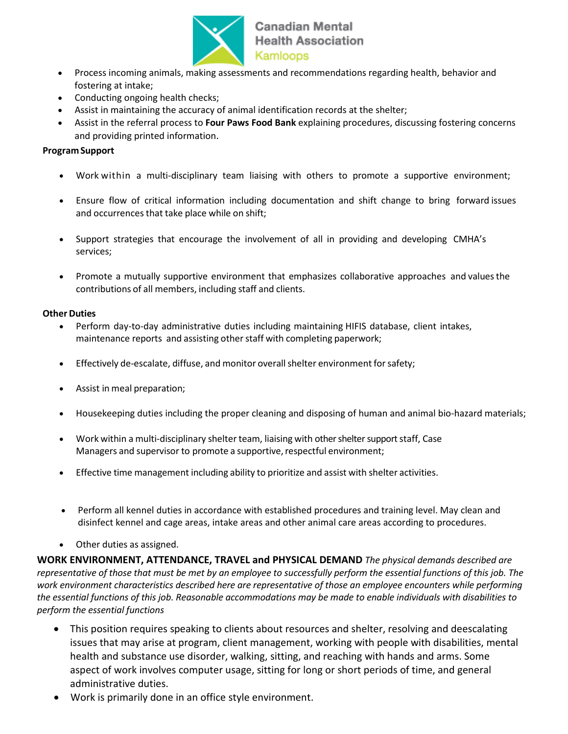

## **Canadian Mental Health Association** Kamloops

- Process incoming animals, making assessments and recommendations regarding health, behavior and fostering at intake;
- Conducting ongoing health checks;
- Assist in maintaining the accuracy of animal identification records at the shelter;
- Assist in the referral process to **Four Paws Food Bank** explaining procedures, discussing fostering concerns and providing printed information.

### **ProgramSupport**

- Work within a multi-disciplinary team liaising with others to promote a supportive environment;
- Ensure flow of critical information including documentation and shift change to bring forward issues and occurrences that take place while on shift;
- Support strategies that encourage the involvement of all in providing and developing CMHA's services;
- Promote a mutually supportive environment that emphasizes collaborative approaches and valuesthe contributions of all members, including staff and clients.

#### **Other Duties**

- Perform day-to-day administrative duties including maintaining HIFIS database, client intakes, maintenance reports and assisting other staff with completing paperwork;
- Effectively de-escalate, diffuse, and monitor overallshelter environment forsafety;
- Assist in meal preparation;
- Housekeeping duties including the proper cleaning and disposing of human and animal bio-hazard materials;
- Work within a multi-disciplinary shelterteam, liaising with other shelter support staff, Case Managers and supervisor to promote a supportive, respectful environment;
- Effective time management including ability to prioritize and assist with shelter activities.
- Perform all kennel duties in accordance with established procedures and training level. May clean and disinfect kennel and cage areas, intake areas and other animal care areas according to procedures.
- Other duties as assigned.

**WORK ENVIRONMENT, ATTENDANCE, TRAVEL and PHYSICAL DEMAND** *The physical demands described are representative of those that must be met by an employee to successfully perform the essential functions of this job. The work environment characteristics described here are representative of those an employee encounters while performing the essential functions of this job. Reasonable accommodations may be made to enable individuals with disabilities to perform the essential functions*

- This position requires speaking to clients about resources and shelter, resolving and deescalating issues that may arise at program, client management, working with people with disabilities, mental health and substance use disorder, walking, sitting, and reaching with hands and arms. Some aspect of work involves computer usage, sitting for long or short periods of time, and general administrative duties.
- Work is primarily done in an office style environment.